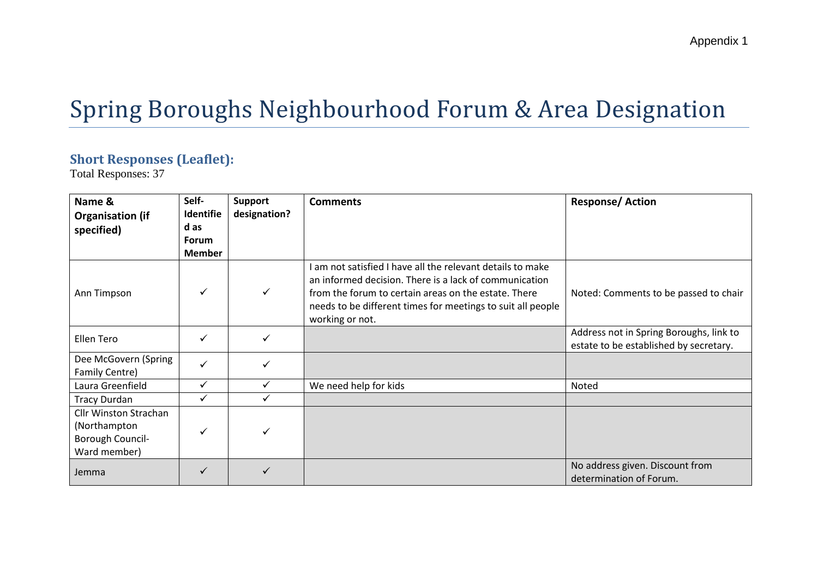# Spring Boroughs Neighbourhood Forum & Area Designation

#### **Short Responses (Leaflet):**

Total Responses: 37

| Name &<br><b>Organisation (if</b>                                                | Self-<br>Identifie   | <b>Support</b><br>designation? | <b>Comments</b>                                                                                                                                                                                                                                                | <b>Response/Action</b>                                                            |
|----------------------------------------------------------------------------------|----------------------|--------------------------------|----------------------------------------------------------------------------------------------------------------------------------------------------------------------------------------------------------------------------------------------------------------|-----------------------------------------------------------------------------------|
| specified)                                                                       | d as<br><b>Forum</b> |                                |                                                                                                                                                                                                                                                                |                                                                                   |
|                                                                                  | <b>Member</b>        |                                |                                                                                                                                                                                                                                                                |                                                                                   |
| Ann Timpson                                                                      | ✓                    | $\checkmark$                   | I am not satisfied I have all the relevant details to make<br>an informed decision. There is a lack of communication<br>from the forum to certain areas on the estate. There<br>needs to be different times for meetings to suit all people<br>working or not. | Noted: Comments to be passed to chair                                             |
| Ellen Tero                                                                       | ✓                    | $\checkmark$                   |                                                                                                                                                                                                                                                                | Address not in Spring Boroughs, link to<br>estate to be established by secretary. |
| Dee McGovern (Spring<br>Family Centre)                                           | ✓                    |                                |                                                                                                                                                                                                                                                                |                                                                                   |
| Laura Greenfield                                                                 | ✓                    |                                | We need help for kids                                                                                                                                                                                                                                          | Noted                                                                             |
| <b>Tracy Durdan</b>                                                              | ✓                    |                                |                                                                                                                                                                                                                                                                |                                                                                   |
| <b>Cllr Winston Strachan</b><br>(Northampton<br>Borough Council-<br>Ward member) | ✓                    |                                |                                                                                                                                                                                                                                                                |                                                                                   |
| Jemma                                                                            |                      |                                |                                                                                                                                                                                                                                                                | No address given. Discount from<br>determination of Forum.                        |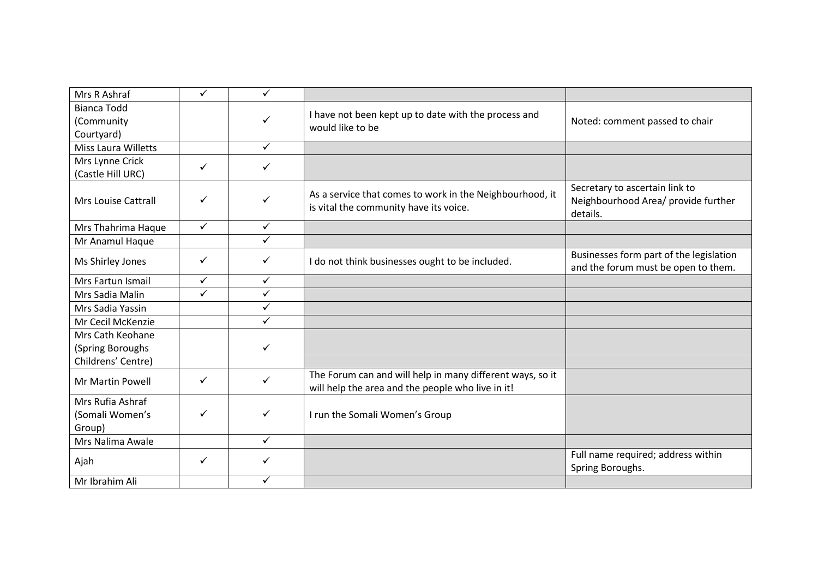| Mrs R Ashraf                                               | ✓            | ✓            |                                                                                                                |                                                                                   |
|------------------------------------------------------------|--------------|--------------|----------------------------------------------------------------------------------------------------------------|-----------------------------------------------------------------------------------|
| <b>Bianca Todd</b><br>(Community<br>Courtyard)             |              | ✓            | I have not been kept up to date with the process and<br>would like to be                                       | Noted: comment passed to chair                                                    |
| Miss Laura Willetts                                        |              | $\checkmark$ |                                                                                                                |                                                                                   |
| Mrs Lynne Crick<br>(Castle Hill URC)                       | $\checkmark$ | $\checkmark$ |                                                                                                                |                                                                                   |
| <b>Mrs Louise Cattrall</b>                                 | ✓            | ✓            | As a service that comes to work in the Neighbourhood, it<br>is vital the community have its voice.             | Secretary to ascertain link to<br>Neighbourhood Area/ provide further<br>details. |
| Mrs Thahrima Haque                                         | $\checkmark$ | $\checkmark$ |                                                                                                                |                                                                                   |
| Mr Anamul Haque                                            |              | ✓            |                                                                                                                |                                                                                   |
| Ms Shirley Jones                                           | ✓            | ✓            | I do not think businesses ought to be included.                                                                | Businesses form part of the legislation<br>and the forum must be open to them.    |
| Mrs Fartun Ismail                                          | ✓            | $\checkmark$ |                                                                                                                |                                                                                   |
| Mrs Sadia Malin                                            | ✓            | $\checkmark$ |                                                                                                                |                                                                                   |
| Mrs Sadia Yassin                                           |              | $\checkmark$ |                                                                                                                |                                                                                   |
| Mr Cecil McKenzie                                          |              | $\checkmark$ |                                                                                                                |                                                                                   |
| Mrs Cath Keohane<br>(Spring Boroughs<br>Childrens' Centre) |              | $\checkmark$ |                                                                                                                |                                                                                   |
| Mr Martin Powell                                           | $\checkmark$ | $\checkmark$ | The Forum can and will help in many different ways, so it<br>will help the area and the people who live in it! |                                                                                   |
| Mrs Rufia Ashraf<br>(Somali Women's<br>Group)              | ✓            | $\checkmark$ | I run the Somali Women's Group                                                                                 |                                                                                   |
| Mrs Nalima Awale                                           |              | $\checkmark$ |                                                                                                                |                                                                                   |
| Ajah                                                       | ✓            | ✓            |                                                                                                                | Full name required; address within<br>Spring Boroughs.                            |
| Mr Ibrahim Ali                                             |              | $\checkmark$ |                                                                                                                |                                                                                   |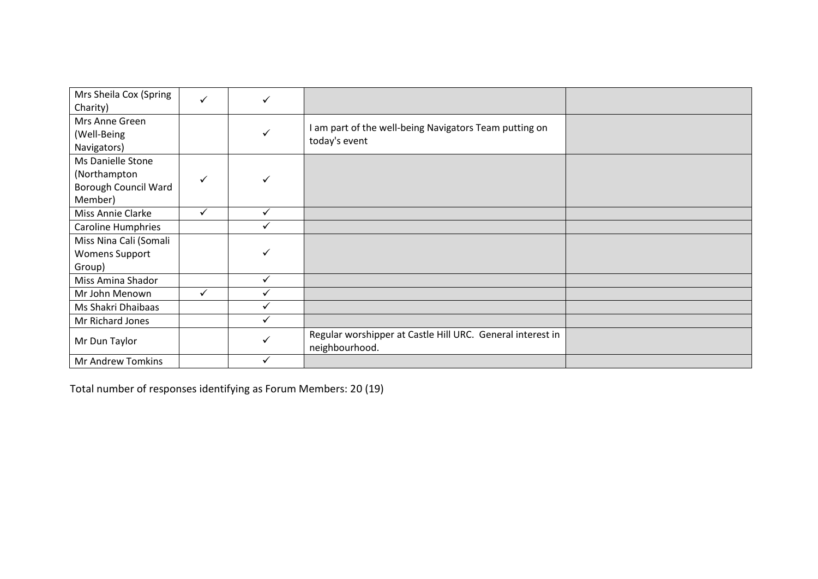| Mrs Sheila Cox (Spring<br>Charity)                                   | $\checkmark$ |              |                                                                              |  |
|----------------------------------------------------------------------|--------------|--------------|------------------------------------------------------------------------------|--|
| Mrs Anne Green<br>(Well-Being<br>Navigators)                         |              |              | I am part of the well-being Navigators Team putting on<br>today's event      |  |
| Ms Danielle Stone<br>(Northampton<br>Borough Council Ward<br>Member) | $\checkmark$ |              |                                                                              |  |
| Miss Annie Clarke                                                    | $\checkmark$ | ✓            |                                                                              |  |
| <b>Caroline Humphries</b>                                            |              |              |                                                                              |  |
| Miss Nina Cali (Somali                                               |              |              |                                                                              |  |
| <b>Womens Support</b><br>Group)                                      |              |              |                                                                              |  |
| Miss Amina Shador                                                    |              |              |                                                                              |  |
| Mr John Menown                                                       | $\checkmark$ |              |                                                                              |  |
| Ms Shakri Dhaibaas                                                   |              | ✓            |                                                                              |  |
| Mr Richard Jones                                                     |              | $\checkmark$ |                                                                              |  |
| Mr Dun Taylor                                                        |              |              | Regular worshipper at Castle Hill URC. General interest in<br>neighbourhood. |  |
| Mr Andrew Tomkins                                                    |              |              |                                                                              |  |

Total number of responses identifying as Forum Members: 20 (19)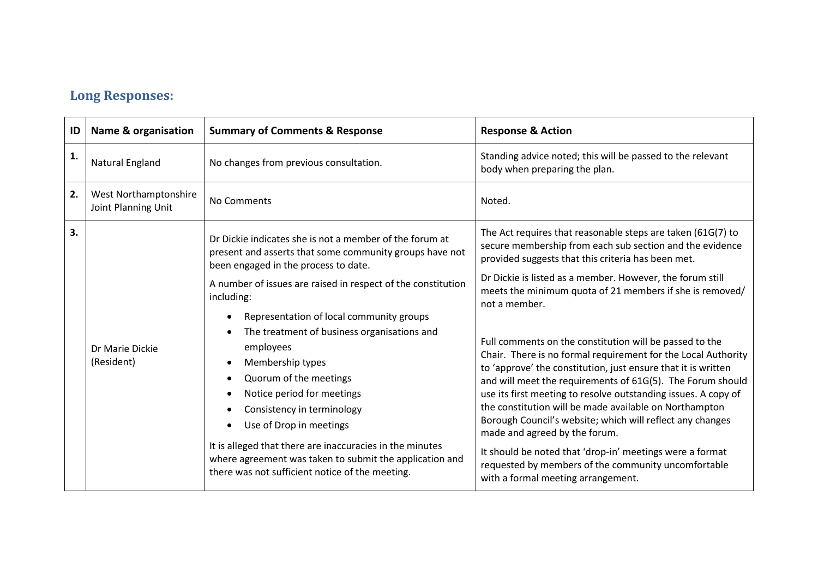### **Long Responses:**

| ID | <b>Name &amp; organisation</b>                      | <b>Summary of Comments &amp; Response</b>                                                                                                                                                                                                                                                                                                                                                                                                                                                                                                                                                                                                                       | <b>Response &amp; Action</b>                                                                                                                                                                                                                                                                                                                                                                                                                                                                                                                                                                                                                                                                                                                                                                                                                                                                                                                                          |
|----|-----------------------------------------------------|-----------------------------------------------------------------------------------------------------------------------------------------------------------------------------------------------------------------------------------------------------------------------------------------------------------------------------------------------------------------------------------------------------------------------------------------------------------------------------------------------------------------------------------------------------------------------------------------------------------------------------------------------------------------|-----------------------------------------------------------------------------------------------------------------------------------------------------------------------------------------------------------------------------------------------------------------------------------------------------------------------------------------------------------------------------------------------------------------------------------------------------------------------------------------------------------------------------------------------------------------------------------------------------------------------------------------------------------------------------------------------------------------------------------------------------------------------------------------------------------------------------------------------------------------------------------------------------------------------------------------------------------------------|
| 1. | Natural England                                     | No changes from previous consultation.                                                                                                                                                                                                                                                                                                                                                                                                                                                                                                                                                                                                                          | Standing advice noted; this will be passed to the relevant<br>body when preparing the plan.                                                                                                                                                                                                                                                                                                                                                                                                                                                                                                                                                                                                                                                                                                                                                                                                                                                                           |
| 2. | <b>West Northamptonshire</b><br>Joint Planning Unit | No Comments                                                                                                                                                                                                                                                                                                                                                                                                                                                                                                                                                                                                                                                     | Noted.                                                                                                                                                                                                                                                                                                                                                                                                                                                                                                                                                                                                                                                                                                                                                                                                                                                                                                                                                                |
| 3. | Dr Marie Dickie<br>(Resident)                       | Dr Dickie indicates she is not a member of the forum at<br>present and asserts that some community groups have not<br>been engaged in the process to date.<br>A number of issues are raised in respect of the constitution<br>including:<br>Representation of local community groups<br>The treatment of business organisations and<br>employees<br>Membership types<br>Quorum of the meetings<br>Notice period for meetings<br>Consistency in terminology<br>Use of Drop in meetings<br>It is alleged that there are inaccuracies in the minutes<br>where agreement was taken to submit the application and<br>there was not sufficient notice of the meeting. | The Act requires that reasonable steps are taken (61G(7) to<br>secure membership from each sub section and the evidence<br>provided suggests that this criteria has been met.<br>Dr Dickie is listed as a member. However, the forum still<br>meets the minimum quota of 21 members if she is removed/<br>not a member.<br>Full comments on the constitution will be passed to the<br>Chair. There is no formal requirement for the Local Authority<br>to 'approve' the constitution, just ensure that it is written<br>and will meet the requirements of 61G(5). The Forum should<br>use its first meeting to resolve outstanding issues. A copy of<br>the constitution will be made available on Northampton<br>Borough Council's website; which will reflect any changes<br>made and agreed by the forum.<br>It should be noted that 'drop-in' meetings were a format<br>requested by members of the community uncomfortable<br>with a formal meeting arrangement. |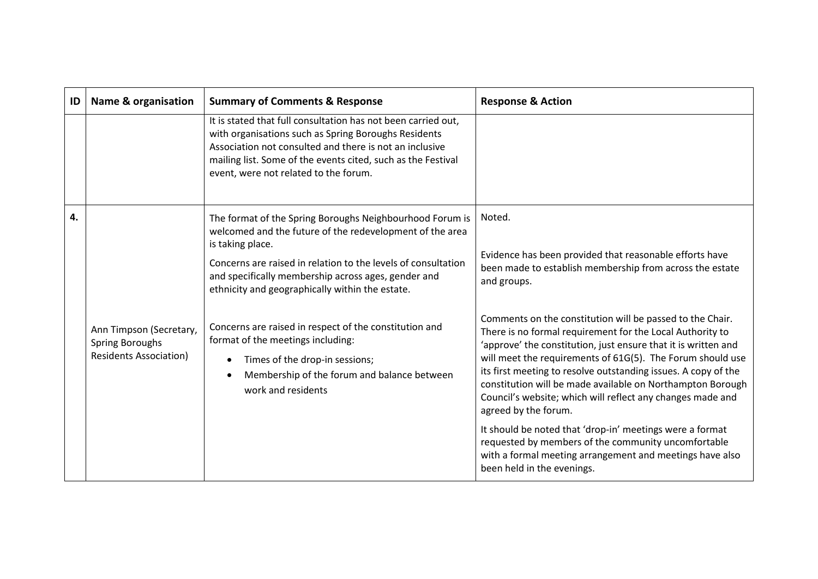| ID | <b>Name &amp; organisation</b>                                              | <b>Summary of Comments &amp; Response</b>                                                                                                                                                                                                                                                                                                                                                                                                                                                                                 | <b>Response &amp; Action</b>                                                                                                                                                                                                                                                                                                                                                                                                                                                                                                                                                                                                                                                                                                                                                                                                              |
|----|-----------------------------------------------------------------------------|---------------------------------------------------------------------------------------------------------------------------------------------------------------------------------------------------------------------------------------------------------------------------------------------------------------------------------------------------------------------------------------------------------------------------------------------------------------------------------------------------------------------------|-------------------------------------------------------------------------------------------------------------------------------------------------------------------------------------------------------------------------------------------------------------------------------------------------------------------------------------------------------------------------------------------------------------------------------------------------------------------------------------------------------------------------------------------------------------------------------------------------------------------------------------------------------------------------------------------------------------------------------------------------------------------------------------------------------------------------------------------|
|    |                                                                             | It is stated that full consultation has not been carried out,<br>with organisations such as Spring Boroughs Residents<br>Association not consulted and there is not an inclusive<br>mailing list. Some of the events cited, such as the Festival<br>event, were not related to the forum.                                                                                                                                                                                                                                 |                                                                                                                                                                                                                                                                                                                                                                                                                                                                                                                                                                                                                                                                                                                                                                                                                                           |
| 4. | Ann Timpson (Secretary,<br>Spring Boroughs<br><b>Residents Association)</b> | The format of the Spring Boroughs Neighbourhood Forum is<br>welcomed and the future of the redevelopment of the area<br>is taking place.<br>Concerns are raised in relation to the levels of consultation<br>and specifically membership across ages, gender and<br>ethnicity and geographically within the estate.<br>Concerns are raised in respect of the constitution and<br>format of the meetings including:<br>Times of the drop-in sessions;<br>Membership of the forum and balance between<br>work and residents | Noted.<br>Evidence has been provided that reasonable efforts have<br>been made to establish membership from across the estate<br>and groups.<br>Comments on the constitution will be passed to the Chair.<br>There is no formal requirement for the Local Authority to<br>'approve' the constitution, just ensure that it is written and<br>will meet the requirements of 61G(5). The Forum should use<br>its first meeting to resolve outstanding issues. A copy of the<br>constitution will be made available on Northampton Borough<br>Council's website; which will reflect any changes made and<br>agreed by the forum.<br>It should be noted that 'drop-in' meetings were a format<br>requested by members of the community uncomfortable<br>with a formal meeting arrangement and meetings have also<br>been held in the evenings. |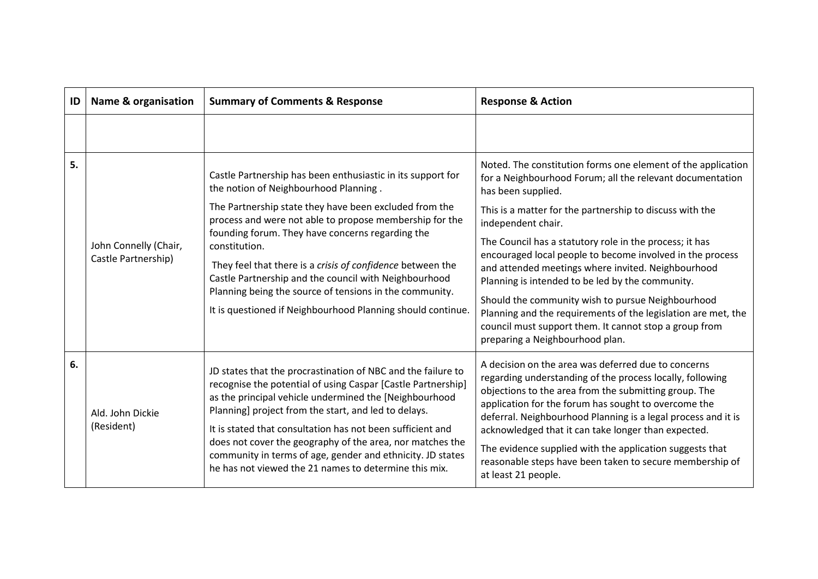| ID | <b>Name &amp; organisation</b> | <b>Summary of Comments &amp; Response</b>                                                                                                                                                                                                                                                                    | <b>Response &amp; Action</b>                                                                                                                                                                                                                                                                                                                              |
|----|--------------------------------|--------------------------------------------------------------------------------------------------------------------------------------------------------------------------------------------------------------------------------------------------------------------------------------------------------------|-----------------------------------------------------------------------------------------------------------------------------------------------------------------------------------------------------------------------------------------------------------------------------------------------------------------------------------------------------------|
|    |                                |                                                                                                                                                                                                                                                                                                              |                                                                                                                                                                                                                                                                                                                                                           |
| 5. |                                | Castle Partnership has been enthusiastic in its support for<br>the notion of Neighbourhood Planning.                                                                                                                                                                                                         | Noted. The constitution forms one element of the application<br>for a Neighbourhood Forum; all the relevant documentation<br>has been supplied.                                                                                                                                                                                                           |
|    |                                | The Partnership state they have been excluded from the<br>process and were not able to propose membership for the                                                                                                                                                                                            | This is a matter for the partnership to discuss with the<br>independent chair.                                                                                                                                                                                                                                                                            |
|    | John Connelly (Chair,          | founding forum. They have concerns regarding the<br>constitution.                                                                                                                                                                                                                                            | The Council has a statutory role in the process; it has<br>encouraged local people to become involved in the process                                                                                                                                                                                                                                      |
|    | Castle Partnership)            | They feel that there is a crisis of confidence between the<br>Castle Partnership and the council with Neighbourhood<br>Planning being the source of tensions in the community.                                                                                                                               | and attended meetings where invited. Neighbourhood<br>Planning is intended to be led by the community.                                                                                                                                                                                                                                                    |
|    |                                | It is questioned if Neighbourhood Planning should continue.                                                                                                                                                                                                                                                  | Should the community wish to pursue Neighbourhood<br>Planning and the requirements of the legislation are met, the<br>council must support them. It cannot stop a group from<br>preparing a Neighbourhood plan.                                                                                                                                           |
| 6. | Ald. John Dickie<br>(Resident) | JD states that the procrastination of NBC and the failure to<br>recognise the potential of using Caspar [Castle Partnership]<br>as the principal vehicle undermined the [Neighbourhood<br>Planning] project from the start, and led to delays.<br>It is stated that consultation has not been sufficient and | A decision on the area was deferred due to concerns<br>regarding understanding of the process locally, following<br>objections to the area from the submitting group. The<br>application for the forum has sought to overcome the<br>deferral. Neighbourhood Planning is a legal process and it is<br>acknowledged that it can take longer than expected. |
|    |                                | does not cover the geography of the area, nor matches the<br>community in terms of age, gender and ethnicity. JD states<br>he has not viewed the 21 names to determine this mix.                                                                                                                             | The evidence supplied with the application suggests that<br>reasonable steps have been taken to secure membership of<br>at least 21 people.                                                                                                                                                                                                               |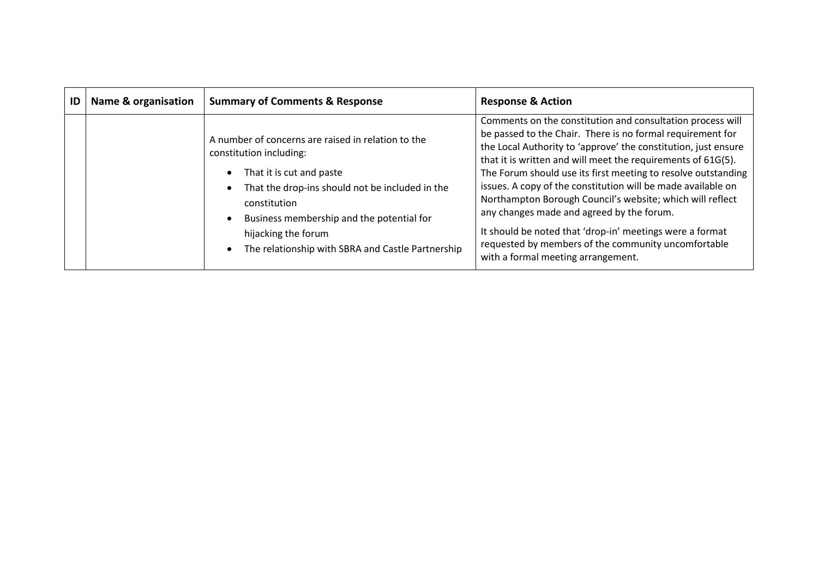| ID | <b>Name &amp; organisation</b> | <b>Summary of Comments &amp; Response</b>                                                                                                                                                                                                                                                             | <b>Response &amp; Action</b>                                                                                                                                                                                                                                                                                                                                                                                                                                                                                                                                                                                                                                   |
|----|--------------------------------|-------------------------------------------------------------------------------------------------------------------------------------------------------------------------------------------------------------------------------------------------------------------------------------------------------|----------------------------------------------------------------------------------------------------------------------------------------------------------------------------------------------------------------------------------------------------------------------------------------------------------------------------------------------------------------------------------------------------------------------------------------------------------------------------------------------------------------------------------------------------------------------------------------------------------------------------------------------------------------|
|    |                                | A number of concerns are raised in relation to the<br>constitution including:<br>That it is cut and paste<br>That the drop-ins should not be included in the<br>constitution<br>Business membership and the potential for<br>hijacking the forum<br>The relationship with SBRA and Castle Partnership | Comments on the constitution and consultation process will<br>be passed to the Chair. There is no formal requirement for<br>the Local Authority to 'approve' the constitution, just ensure<br>that it is written and will meet the requirements of 61G(5).<br>The Forum should use its first meeting to resolve outstanding<br>issues. A copy of the constitution will be made available on<br>Northampton Borough Council's website; which will reflect<br>any changes made and agreed by the forum.<br>It should be noted that 'drop-in' meetings were a format<br>requested by members of the community uncomfortable<br>with a formal meeting arrangement. |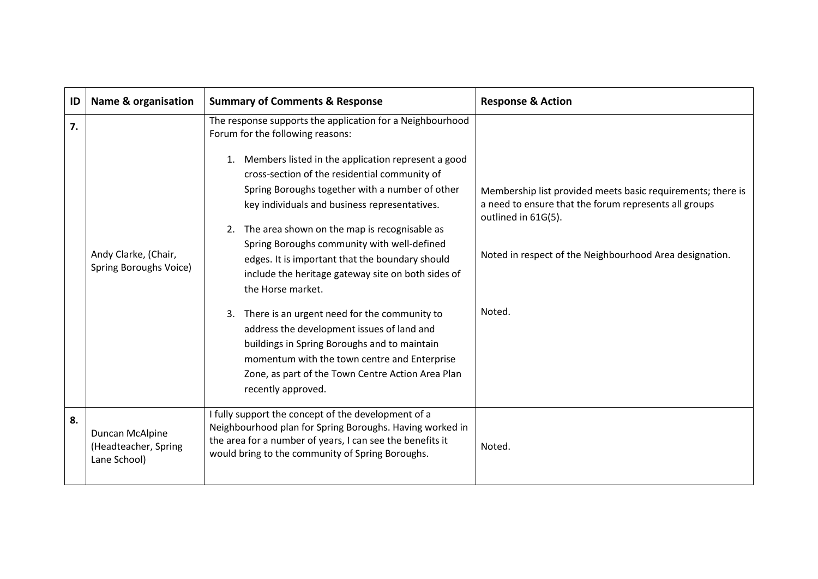| ID | <b>Name &amp; organisation</b>                          | <b>Summary of Comments &amp; Response</b>                                                                                                                                                                                                                                                                                                                                                                                                                                                                                                                                                                                                                                                                                                                                                                                        | <b>Response &amp; Action</b>                                                                                                                                                                                     |
|----|---------------------------------------------------------|----------------------------------------------------------------------------------------------------------------------------------------------------------------------------------------------------------------------------------------------------------------------------------------------------------------------------------------------------------------------------------------------------------------------------------------------------------------------------------------------------------------------------------------------------------------------------------------------------------------------------------------------------------------------------------------------------------------------------------------------------------------------------------------------------------------------------------|------------------------------------------------------------------------------------------------------------------------------------------------------------------------------------------------------------------|
| 7. | Andy Clarke, (Chair,<br>Spring Boroughs Voice)          | The response supports the application for a Neighbourhood<br>Forum for the following reasons:<br>Members listed in the application represent a good<br>1.<br>cross-section of the residential community of<br>Spring Boroughs together with a number of other<br>key individuals and business representatives.<br>The area shown on the map is recognisable as<br>2.<br>Spring Boroughs community with well-defined<br>edges. It is important that the boundary should<br>include the heritage gateway site on both sides of<br>the Horse market.<br>There is an urgent need for the community to<br>3.<br>address the development issues of land and<br>buildings in Spring Boroughs and to maintain<br>momentum with the town centre and Enterprise<br>Zone, as part of the Town Centre Action Area Plan<br>recently approved. | Membership list provided meets basic requirements; there is<br>a need to ensure that the forum represents all groups<br>outlined in 61G(5).<br>Noted in respect of the Neighbourhood Area designation.<br>Noted. |
| 8. | Duncan McAlpine<br>(Headteacher, Spring<br>Lane School) | I fully support the concept of the development of a<br>Neighbourhood plan for Spring Boroughs. Having worked in<br>the area for a number of years, I can see the benefits it<br>would bring to the community of Spring Boroughs.                                                                                                                                                                                                                                                                                                                                                                                                                                                                                                                                                                                                 | Noted.                                                                                                                                                                                                           |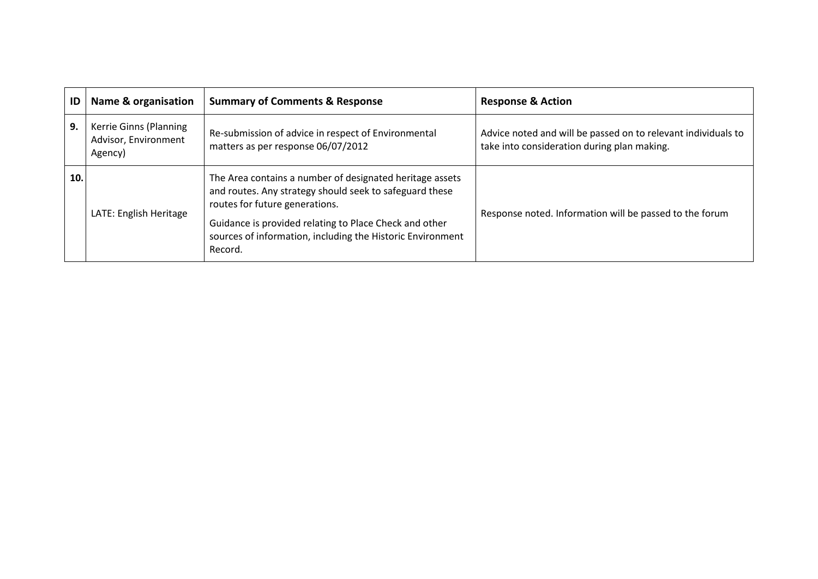| ID  | Name & organisation                                       | <b>Summary of Comments &amp; Response</b>                                                                                                                                                                                                                                                | <b>Response &amp; Action</b>                                                                                 |
|-----|-----------------------------------------------------------|------------------------------------------------------------------------------------------------------------------------------------------------------------------------------------------------------------------------------------------------------------------------------------------|--------------------------------------------------------------------------------------------------------------|
| 9.  | Kerrie Ginns (Planning<br>Advisor, Environment<br>Agency) | Re-submission of advice in respect of Environmental<br>matters as per response 06/07/2012                                                                                                                                                                                                | Advice noted and will be passed on to relevant individuals to<br>take into consideration during plan making. |
| 10. | LATE: English Heritage                                    | The Area contains a number of designated heritage assets<br>and routes. Any strategy should seek to safeguard these<br>routes for future generations.<br>Guidance is provided relating to Place Check and other<br>sources of information, including the Historic Environment<br>Record. | Response noted. Information will be passed to the forum                                                      |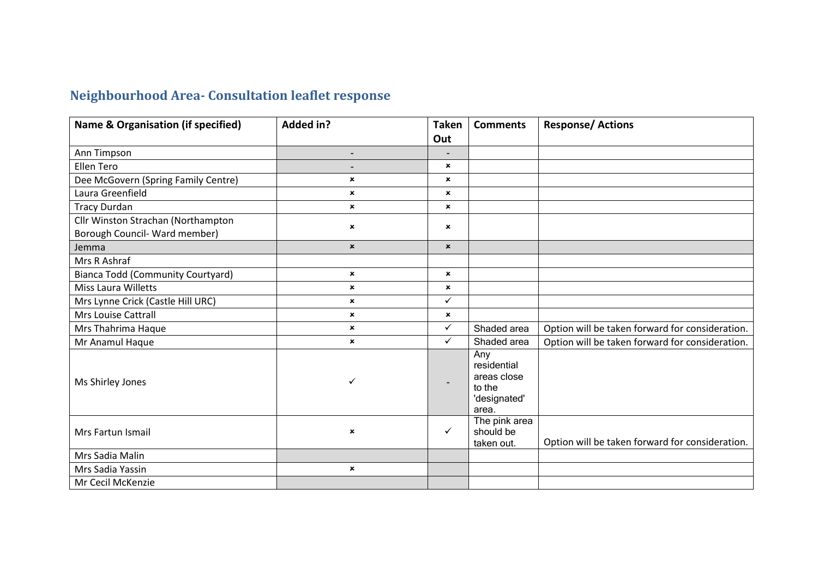## **Neighbourhood Area- Consultation leaflet response**

| Name & Organisation (if specified)                                  | <b>Added in?</b>          | <b>Taken</b>              | <b>Comments</b>                                                      | <b>Response/Actions</b>                         |
|---------------------------------------------------------------------|---------------------------|---------------------------|----------------------------------------------------------------------|-------------------------------------------------|
|                                                                     |                           | Out                       |                                                                      |                                                 |
| Ann Timpson                                                         | $\overline{\phantom{a}}$  |                           |                                                                      |                                                 |
| Ellen Tero                                                          | -                         | $\boldsymbol{\mathsf{x}}$ |                                                                      |                                                 |
| Dee McGovern (Spring Family Centre)                                 | $\mathbf x$               | $\mathbf x$               |                                                                      |                                                 |
| Laura Greenfield                                                    | $\boldsymbol{\mathsf{x}}$ | $\pmb{\times}$            |                                                                      |                                                 |
| <b>Tracy Durdan</b>                                                 | $\mathbf x$               | $\pmb{\times}$            |                                                                      |                                                 |
| Cllr Winston Strachan (Northampton<br>Borough Council- Ward member) | $\pmb{\times}$            | $\pmb{\times}$            |                                                                      |                                                 |
| Jemma                                                               | $\pmb{\times}$            | $\pmb{\times}$            |                                                                      |                                                 |
| Mrs R Ashraf                                                        |                           |                           |                                                                      |                                                 |
| <b>Bianca Todd (Community Courtyard)</b>                            | $\boldsymbol{\mathsf{x}}$ | $\pmb{\times}$            |                                                                      |                                                 |
| <b>Miss Laura Willetts</b>                                          | $\pmb{\times}$            | ×                         |                                                                      |                                                 |
| Mrs Lynne Crick (Castle Hill URC)                                   | $\boldsymbol{\mathsf{x}}$ | ✓                         |                                                                      |                                                 |
| Mrs Louise Cattrall                                                 | $\boldsymbol{\mathsf{x}}$ | $\mathbf{x}$              |                                                                      |                                                 |
| Mrs Thahrima Haque                                                  | $\mathbf x$               | ✓                         | Shaded area                                                          | Option will be taken forward for consideration. |
| Mr Anamul Haque                                                     | $\mathbf x$               | ✓                         | Shaded area                                                          | Option will be taken forward for consideration. |
| Ms Shirley Jones                                                    | ✓                         | $\overline{\phantom{a}}$  | Any<br>residential<br>areas close<br>to the<br>'designated'<br>area. |                                                 |
| Mrs Fartun Ismail                                                   | $\pmb{\times}$            | ✓                         | The pink area<br>should be<br>taken out.                             | Option will be taken forward for consideration. |
| Mrs Sadia Malin                                                     |                           |                           |                                                                      |                                                 |
| Mrs Sadia Yassin                                                    | $\mathbf x$               |                           |                                                                      |                                                 |
| Mr Cecil McKenzie                                                   |                           |                           |                                                                      |                                                 |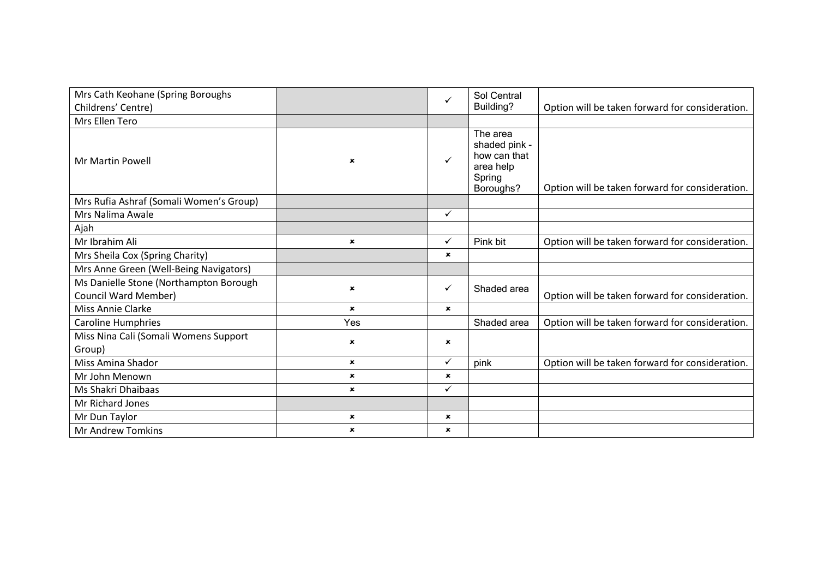| Mrs Cath Keohane (Spring Boroughs                                     |                | ✓            | Sol Central                                                                   |                                                 |
|-----------------------------------------------------------------------|----------------|--------------|-------------------------------------------------------------------------------|-------------------------------------------------|
| Childrens' Centre)                                                    |                |              | Building?                                                                     | Option will be taken forward for consideration. |
| Mrs Ellen Tero                                                        |                |              |                                                                               |                                                 |
| <b>Mr Martin Powell</b>                                               | $\mathbf x$    | $\checkmark$ | The area<br>shaded pink -<br>how can that<br>area help<br>Spring<br>Boroughs? | Option will be taken forward for consideration. |
| Mrs Rufia Ashraf (Somali Women's Group)                               |                |              |                                                                               |                                                 |
| Mrs Nalima Awale                                                      |                | $\checkmark$ |                                                                               |                                                 |
| Ajah                                                                  |                |              |                                                                               |                                                 |
| Mr Ibrahim Ali                                                        | $\mathbf{x}$   | ✓            | Pink bit                                                                      | Option will be taken forward for consideration. |
| Mrs Sheila Cox (Spring Charity)                                       |                | $\mathbf x$  |                                                                               |                                                 |
| Mrs Anne Green (Well-Being Navigators)                                |                |              |                                                                               |                                                 |
| Ms Danielle Stone (Northampton Borough<br><b>Council Ward Member)</b> | $\pmb{\times}$ | ✓            | Shaded area                                                                   | Option will be taken forward for consideration. |
| <b>Miss Annie Clarke</b>                                              | $\mathbf{x}$   | ×            |                                                                               |                                                 |
| <b>Caroline Humphries</b>                                             | Yes            |              | Shaded area                                                                   | Option will be taken forward for consideration. |
| Miss Nina Cali (Somali Womens Support<br>Group)                       | $\mathbf x$    | ×            |                                                                               |                                                 |
| Miss Amina Shador                                                     | $\mathbf{x}$   | $\checkmark$ | pink                                                                          | Option will be taken forward for consideration. |
| Mr John Menown                                                        | $\mathbf{x}$   | $\mathbf x$  |                                                                               |                                                 |
| Ms Shakri Dhaibaas                                                    | $\mathbf{x}$   | $\checkmark$ |                                                                               |                                                 |
| Mr Richard Jones                                                      |                |              |                                                                               |                                                 |
| Mr Dun Taylor                                                         | $\pmb{\times}$ | ×            |                                                                               |                                                 |
| <b>Mr Andrew Tomkins</b>                                              | $\pmb{\times}$ | ×            |                                                                               |                                                 |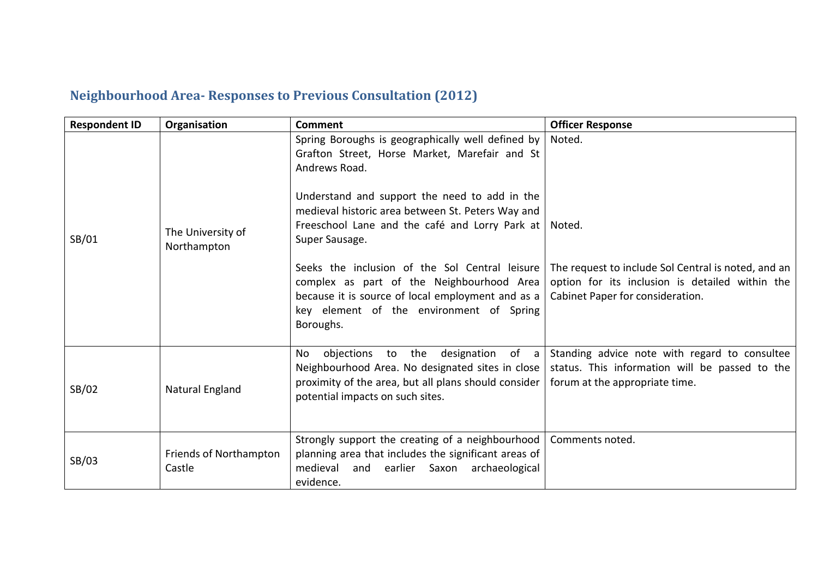### **Neighbourhood Area- Responses to Previous Consultation (2012)**

| <b>Respondent ID</b> | Organisation                     | <b>Comment</b>                                                                                                                                                                                                                                                                                                                                  | <b>Officer Response</b>                                                                                                           |
|----------------------|----------------------------------|-------------------------------------------------------------------------------------------------------------------------------------------------------------------------------------------------------------------------------------------------------------------------------------------------------------------------------------------------|-----------------------------------------------------------------------------------------------------------------------------------|
| SB/01                | The University of<br>Northampton | Spring Boroughs is geographically well defined by<br>Grafton Street, Horse Market, Marefair and St<br>Andrews Road.<br>Understand and support the need to add in the<br>medieval historic area between St. Peters Way and<br>Freeschool Lane and the café and Lorry Park at<br>Super Sausage.<br>Seeks the inclusion of the Sol Central leisure | Noted.<br>Noted.<br>The request to include Sol Central is noted, and an                                                           |
|                      |                                  | complex as part of the Neighbourhood Area<br>because it is source of local employment and as a<br>key element of the environment of Spring<br>Boroughs.                                                                                                                                                                                         | option for its inclusion is detailed within the<br>Cabinet Paper for consideration.                                               |
| SB/02                | Natural England                  | objections to the designation of a<br>No<br>Neighbourhood Area. No designated sites in close<br>proximity of the area, but all plans should consider<br>potential impacts on such sites.                                                                                                                                                        | Standing advice note with regard to consultee<br>status. This information will be passed to the<br>forum at the appropriate time. |
| SB/03                | Friends of Northampton<br>Castle | Strongly support the creating of a neighbourhood<br>planning area that includes the significant areas of<br>medieval and earlier Saxon<br>archaeological<br>evidence.                                                                                                                                                                           | Comments noted.                                                                                                                   |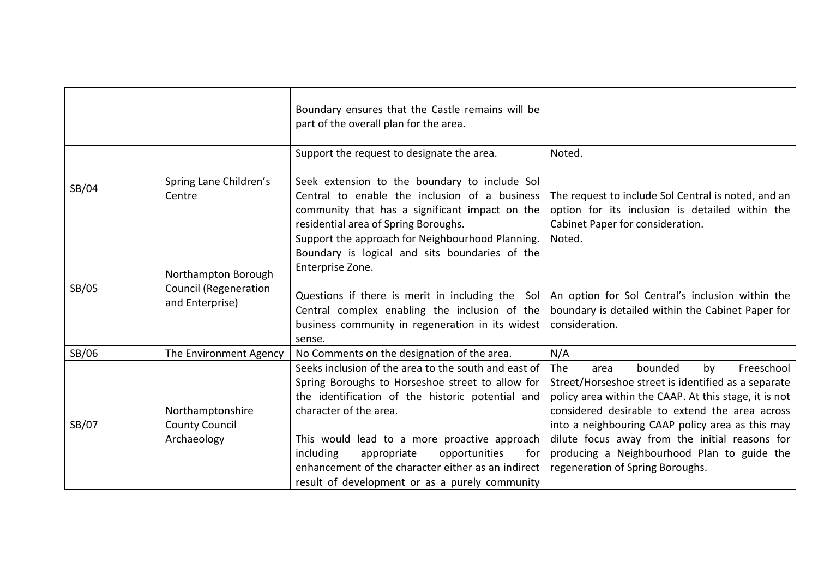|       |                                                                        | Boundary ensures that the Castle remains will be<br>part of the overall plan for the area.                                                                                                                                                                                                                                                                                                         |                                                                                                                                                                                                                                                                                                                                                                                                       |
|-------|------------------------------------------------------------------------|----------------------------------------------------------------------------------------------------------------------------------------------------------------------------------------------------------------------------------------------------------------------------------------------------------------------------------------------------------------------------------------------------|-------------------------------------------------------------------------------------------------------------------------------------------------------------------------------------------------------------------------------------------------------------------------------------------------------------------------------------------------------------------------------------------------------|
|       |                                                                        | Support the request to designate the area.                                                                                                                                                                                                                                                                                                                                                         | Noted.                                                                                                                                                                                                                                                                                                                                                                                                |
| SB/04 | Spring Lane Children's<br>Centre                                       | Seek extension to the boundary to include Sol<br>Central to enable the inclusion of a business<br>community that has a significant impact on the<br>residential area of Spring Boroughs.                                                                                                                                                                                                           | The request to include Sol Central is noted, and an<br>option for its inclusion is detailed within the<br>Cabinet Paper for consideration.                                                                                                                                                                                                                                                            |
| SB/05 | Northampton Borough<br><b>Council (Regeneration</b><br>and Enterprise) | Support the approach for Neighbourhood Planning.<br>Boundary is logical and sits boundaries of the<br>Enterprise Zone.<br>Questions if there is merit in including the Sol<br>Central complex enabling the inclusion of the<br>business community in regeneration in its widest                                                                                                                    | Noted.<br>An option for Sol Central's inclusion within the<br>boundary is detailed within the Cabinet Paper for<br>consideration.                                                                                                                                                                                                                                                                     |
| SB/06 | The Environment Agency                                                 | sense.<br>No Comments on the designation of the area.                                                                                                                                                                                                                                                                                                                                              | N/A                                                                                                                                                                                                                                                                                                                                                                                                   |
| SB/07 | Northamptonshire<br><b>County Council</b><br>Archaeology               | Seeks inclusion of the area to the south and east of<br>Spring Boroughs to Horseshoe street to allow for<br>the identification of the historic potential and<br>character of the area.<br>This would lead to a more proactive approach<br>including<br>appropriate<br>opportunities<br>for<br>enhancement of the character either as an indirect<br>result of development or as a purely community | The<br>bounded<br>Freeschool<br>by<br>area<br>Street/Horseshoe street is identified as a separate<br>policy area within the CAAP. At this stage, it is not<br>considered desirable to extend the area across<br>into a neighbouring CAAP policy area as this may<br>dilute focus away from the initial reasons for<br>producing a Neighbourhood Plan to guide the<br>regeneration of Spring Boroughs. |